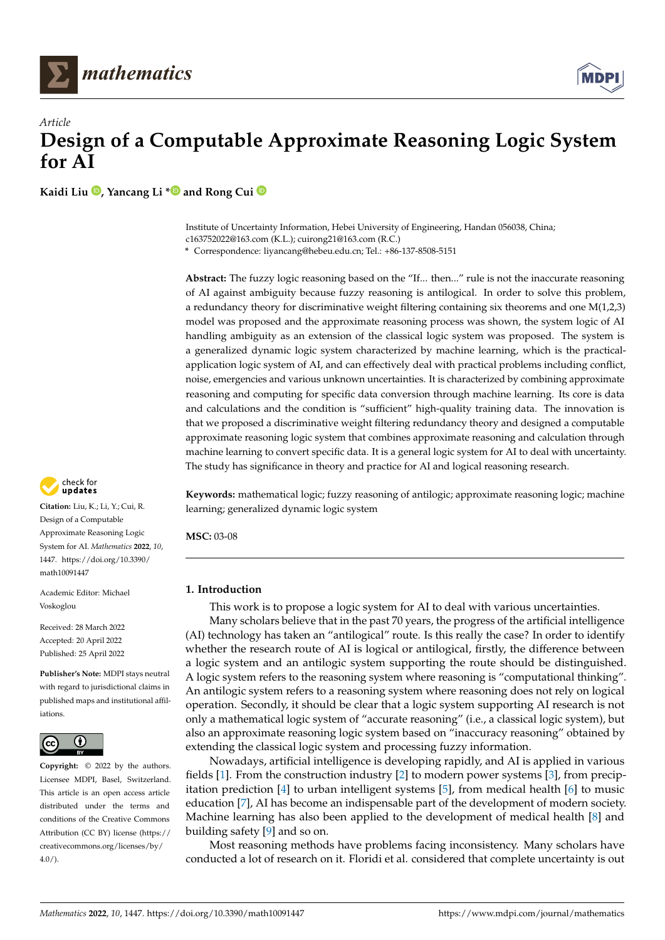



**Kaidi Liu [,](https://orcid.org/0000-0002-0181-9494) Yancang Li [\\*](https://orcid.org/0000-0002-0229-7982) and Rong Cui**

Institute of Uncertainty Information, Hebei University of Engineering, Handan 056038, China; c163752022@163.com (K.L.); cuirong21@163.com (R.C.)

**\*** Correspondence: liyancang@hebeu.edu.cn; Tel.: +86-137-8508-5151

**Abstract:** The fuzzy logic reasoning based on the "If... then..." rule is not the inaccurate reasoning of AI against ambiguity because fuzzy reasoning is antilogical. In order to solve this problem, a redundancy theory for discriminative weight filtering containing six theorems and one M(1,2,3) model was proposed and the approximate reasoning process was shown, the system logic of AI handling ambiguity as an extension of the classical logic system was proposed. The system is a generalized dynamic logic system characterized by machine learning, which is the practicalapplication logic system of AI, and can effectively deal with practical problems including conflict, noise, emergencies and various unknown uncertainties. It is characterized by combining approximate reasoning and computing for specific data conversion through machine learning. Its core is data and calculations and the condition is "sufficient" high-quality training data. The innovation is that we proposed a discriminative weight filtering redundancy theory and designed a computable approximate reasoning logic system that combines approximate reasoning and calculation through machine learning to convert specific data. It is a general logic system for AI to deal with uncertainty. The study has significance in theory and practice for AI and logical reasoning research.

**Keywords:** mathematical logic; fuzzy reasoning of antilogic; approximate reasoning logic; machine learning; generalized dynamic logic system

**MSC:** 03-08

# **1. Introduction**

This work is to propose a logic system for AI to deal with various uncertainties.

Many scholars believe that in the past 70 years, the progress of the artificial intelligence (AI) technology has taken an "antilogical" route. Is this really the case? In order to identify whether the research route of AI is logical or antilogical, firstly, the difference between a logic system and an antilogic system supporting the route should be distinguished. A logic system refers to the reasoning system where reasoning is "computational thinking". An antilogic system refers to a reasoning system where reasoning does not rely on logical operation. Secondly, it should be clear that a logic system supporting AI research is not only a mathematical logic system of "accurate reasoning" (i.e., a classical logic system), but also an approximate reasoning logic system based on "inaccuracy reasoning" obtained by extending the classical logic system and processing fuzzy information.

Nowadays, artificial intelligence is developing rapidly, and AI is applied in various fields [\[1\]](#page-14-0). From the construction industry [\[2\]](#page-14-1) to modern power systems [\[3\]](#page-14-2), from precipitation prediction [\[4\]](#page-14-3) to urban intelligent systems [\[5\]](#page-14-4), from medical health [\[6\]](#page-14-5) to music education [\[7\]](#page-14-6), AI has become an indispensable part of the development of modern society. Machine learning has also been applied to the development of medical health [\[8\]](#page-14-7) and building safety [\[9\]](#page-14-8) and so on.

Most reasoning methods have problems facing inconsistency. Many scholars have conducted a lot of research on it. Floridi et al. considered that complete uncertainty is out



**Citation:** Liu, K.; Li, Y.; Cui, R. Design of a Computable Approximate Reasoning Logic System for AI. *Mathematics* **2022**, *10*, 1447. [https://doi.org/10.3390/](https://doi.org/10.3390/math10091447) [math10091447](https://doi.org/10.3390/math10091447)

Academic Editor: Michael Voskoglou

Received: 28 March 2022 Accepted: 20 April 2022 Published: 25 April 2022

**Publisher's Note:** MDPI stays neutral with regard to jurisdictional claims in published maps and institutional affiliations.



**Copyright:** © 2022 by the authors. Licensee MDPI, Basel, Switzerland. This article is an open access article distributed under the terms and conditions of the Creative Commons Attribution (CC BY) license [\(https://](https://creativecommons.org/licenses/by/4.0/) [creativecommons.org/licenses/by/](https://creativecommons.org/licenses/by/4.0/)  $4.0/$ ).

**MDP**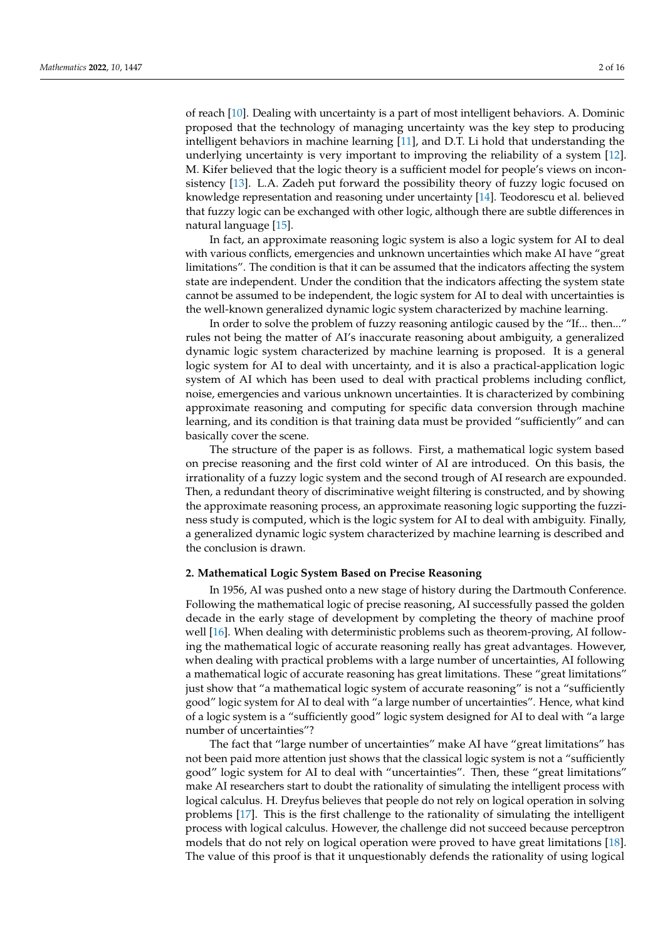of reach [\[10\]](#page-14-9). Dealing with uncertainty is a part of most intelligent behaviors. A. Dominic proposed that the technology of managing uncertainty was the key step to producing intelligent behaviors in machine learning [\[11\]](#page-14-10), and D.T. Li hold that understanding the underlying uncertainty is very important to improving the reliability of a system [\[12\]](#page-14-11). M. Kifer believed that the logic theory is a sufficient model for people's views on inconsistency [\[13\]](#page-14-12). L.A. Zadeh put forward the possibility theory of fuzzy logic focused on knowledge representation and reasoning under uncertainty [\[14\]](#page-14-13). Teodorescu et al. believed that fuzzy logic can be exchanged with other logic, although there are subtle differences in natural language [\[15\]](#page-14-14).

In fact, an approximate reasoning logic system is also a logic system for AI to deal with various conflicts, emergencies and unknown uncertainties which make AI have "great limitations". The condition is that it can be assumed that the indicators affecting the system state are independent. Under the condition that the indicators affecting the system state cannot be assumed to be independent, the logic system for AI to deal with uncertainties is the well-known generalized dynamic logic system characterized by machine learning.

In order to solve the problem of fuzzy reasoning antilogic caused by the "If... then..." rules not being the matter of AI's inaccurate reasoning about ambiguity, a generalized dynamic logic system characterized by machine learning is proposed. It is a general logic system for AI to deal with uncertainty, and it is also a practical-application logic system of AI which has been used to deal with practical problems including conflict, noise, emergencies and various unknown uncertainties. It is characterized by combining approximate reasoning and computing for specific data conversion through machine learning, and its condition is that training data must be provided "sufficiently" and can basically cover the scene.

The structure of the paper is as follows. First, a mathematical logic system based on precise reasoning and the first cold winter of AI are introduced. On this basis, the irrationality of a fuzzy logic system and the second trough of AI research are expounded. Then, a redundant theory of discriminative weight filtering is constructed, and by showing the approximate reasoning process, an approximate reasoning logic supporting the fuzziness study is computed, which is the logic system for AI to deal with ambiguity. Finally, a generalized dynamic logic system characterized by machine learning is described and the conclusion is drawn.

## **2. Mathematical Logic System Based on Precise Reasoning**

In 1956, AI was pushed onto a new stage of history during the Dartmouth Conference. Following the mathematical logic of precise reasoning, AI successfully passed the golden decade in the early stage of development by completing the theory of machine proof well [\[16\]](#page-14-15). When dealing with deterministic problems such as theorem-proving, AI following the mathematical logic of accurate reasoning really has great advantages. However, when dealing with practical problems with a large number of uncertainties, AI following a mathematical logic of accurate reasoning has great limitations. These "great limitations" just show that "a mathematical logic system of accurate reasoning" is not a "sufficiently good" logic system for AI to deal with "a large number of uncertainties". Hence, what kind of a logic system is a "sufficiently good" logic system designed for AI to deal with "a large number of uncertainties"?

The fact that "large number of uncertainties" make AI have "great limitations" has not been paid more attention just shows that the classical logic system is not a "sufficiently good" logic system for AI to deal with "uncertainties". Then, these "great limitations" make AI researchers start to doubt the rationality of simulating the intelligent process with logical calculus. H. Dreyfus believes that people do not rely on logical operation in solving problems [\[17\]](#page-14-16). This is the first challenge to the rationality of simulating the intelligent process with logical calculus. However, the challenge did not succeed because perceptron models that do not rely on logical operation were proved to have great limitations [\[18\]](#page-14-17). The value of this proof is that it unquestionably defends the rationality of using logical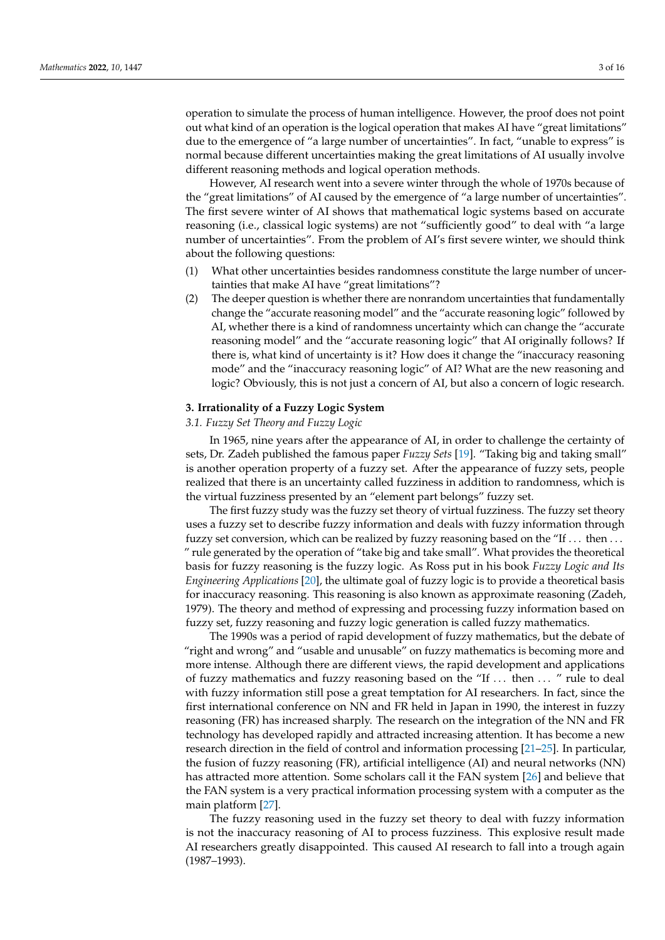operation to simulate the process of human intelligence. However, the proof does not point out what kind of an operation is the logical operation that makes AI have "great limitations" due to the emergence of "a large number of uncertainties". In fact, "unable to express" is normal because different uncertainties making the great limitations of AI usually involve different reasoning methods and logical operation methods.

However, AI research went into a severe winter through the whole of 1970s because of the "great limitations" of AI caused by the emergence of "a large number of uncertainties". The first severe winter of AI shows that mathematical logic systems based on accurate reasoning (i.e., classical logic systems) are not "sufficiently good" to deal with "a large number of uncertainties". From the problem of AI's first severe winter, we should think about the following questions:

- (1) What other uncertainties besides randomness constitute the large number of uncertainties that make AI have "great limitations"?
- (2) The deeper question is whether there are nonrandom uncertainties that fundamentally change the "accurate reasoning model" and the "accurate reasoning logic" followed by AI, whether there is a kind of randomness uncertainty which can change the "accurate reasoning model" and the "accurate reasoning logic" that AI originally follows? If there is, what kind of uncertainty is it? How does it change the "inaccuracy reasoning mode" and the "inaccuracy reasoning logic" of AI? What are the new reasoning and logic? Obviously, this is not just a concern of AI, but also a concern of logic research.

## **3. Irrationality of a Fuzzy Logic System**

## *3.1. Fuzzy Set Theory and Fuzzy Logic*

In 1965, nine years after the appearance of AI, in order to challenge the certainty of sets, Dr. Zadeh published the famous paper *Fuzzy Sets* [\[19\]](#page-14-18). "Taking big and taking small" is another operation property of a fuzzy set. After the appearance of fuzzy sets, people realized that there is an uncertainty called fuzziness in addition to randomness, which is the virtual fuzziness presented by an "element part belongs" fuzzy set.

The first fuzzy study was the fuzzy set theory of virtual fuzziness. The fuzzy set theory uses a fuzzy set to describe fuzzy information and deals with fuzzy information through fuzzy set conversion, which can be realized by fuzzy reasoning based on the "If ... then ... " rule generated by the operation of "take big and take small". What provides the theoretical basis for fuzzy reasoning is the fuzzy logic. As Ross put in his book *Fuzzy Logic and Its Engineering Applications* [\[20\]](#page-14-19), the ultimate goal of fuzzy logic is to provide a theoretical basis for inaccuracy reasoning. This reasoning is also known as approximate reasoning (Zadeh, 1979). The theory and method of expressing and processing fuzzy information based on fuzzy set, fuzzy reasoning and fuzzy logic generation is called fuzzy mathematics.

The 1990s was a period of rapid development of fuzzy mathematics, but the debate of "right and wrong" and "usable and unusable" on fuzzy mathematics is becoming more and more intense. Although there are different views, the rapid development and applications of fuzzy mathematics and fuzzy reasoning based on the "If . . . then . . . " rule to deal with fuzzy information still pose a great temptation for AI researchers. In fact, since the first international conference on NN and FR held in Japan in 1990, the interest in fuzzy reasoning (FR) has increased sharply. The research on the integration of the NN and FR technology has developed rapidly and attracted increasing attention. It has become a new research direction in the field of control and information processing [\[21–](#page-14-20)[25\]](#page-14-21). In particular, the fusion of fuzzy reasoning (FR), artificial intelligence (AI) and neural networks (NN) has attracted more attention. Some scholars call it the FAN system [\[26\]](#page-14-22) and believe that the FAN system is a very practical information processing system with a computer as the main platform [\[27\]](#page-14-23).

The fuzzy reasoning used in the fuzzy set theory to deal with fuzzy information is not the inaccuracy reasoning of AI to process fuzziness. This explosive result made AI researchers greatly disappointed. This caused AI research to fall into a trough again (1987–1993).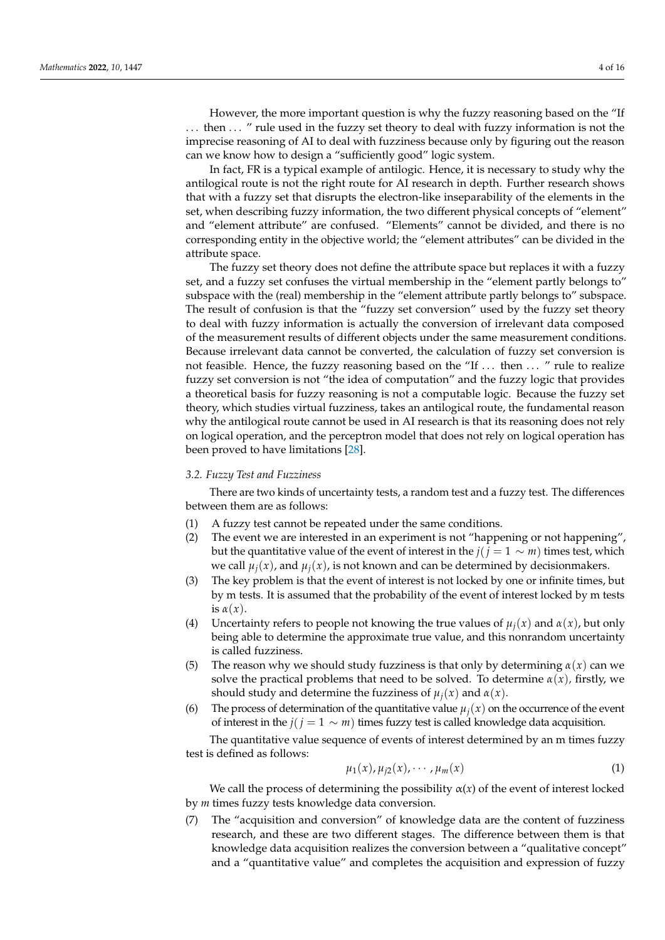However, the more important question is why the fuzzy reasoning based on the "If . . . then . . . " rule used in the fuzzy set theory to deal with fuzzy information is not the imprecise reasoning of AI to deal with fuzziness because only by figuring out the reason can we know how to design a "sufficiently good" logic system.

In fact, FR is a typical example of antilogic. Hence, it is necessary to study why the antilogical route is not the right route for AI research in depth. Further research shows that with a fuzzy set that disrupts the electron-like inseparability of the elements in the set, when describing fuzzy information, the two different physical concepts of "element" and "element attribute" are confused. "Elements" cannot be divided, and there is no corresponding entity in the objective world; the "element attributes" can be divided in the attribute space.

The fuzzy set theory does not define the attribute space but replaces it with a fuzzy set, and a fuzzy set confuses the virtual membership in the "element partly belongs to" subspace with the (real) membership in the "element attribute partly belongs to" subspace. The result of confusion is that the "fuzzy set conversion" used by the fuzzy set theory to deal with fuzzy information is actually the conversion of irrelevant data composed of the measurement results of different objects under the same measurement conditions. Because irrelevant data cannot be converted, the calculation of fuzzy set conversion is not feasible. Hence, the fuzzy reasoning based on the "If ... then ... " rule to realize fuzzy set conversion is not "the idea of computation" and the fuzzy logic that provides a theoretical basis for fuzzy reasoning is not a computable logic. Because the fuzzy set theory, which studies virtual fuzziness, takes an antilogical route, the fundamental reason why the antilogical route cannot be used in AI research is that its reasoning does not rely on logical operation, and the perceptron model that does not rely on logical operation has been proved to have limitations [\[28\]](#page-15-0).

#### *3.2. Fuzzy Test and Fuzziness*

There are two kinds of uncertainty tests, a random test and a fuzzy test. The differences between them are as follows:

- (1) A fuzzy test cannot be repeated under the same conditions.
- (2) The event we are interested in an experiment is not "happening or not happening", but the quantitative value of the event of interest in the  $j$ ( $j = 1 \sim m$ ) times test, which we call  $\mu_i(x)$ , and  $\mu_i(x)$ , is not known and can be determined by decisionmakers.
- (3) The key problem is that the event of interest is not locked by one or infinite times, but by m tests. It is assumed that the probability of the event of interest locked by m tests is  $\alpha(x)$ .
- (4) Uncertainty refers to people not knowing the true values of  $\mu_i(x)$  and  $\alpha(x)$ , but only being able to determine the approximate true value, and this nonrandom uncertainty is called fuzziness.
- (5) The reason why we should study fuzziness is that only by determining *α*(*x*) can we solve the practical problems that need to be solved. To determine  $\alpha(x)$ , firstly, we should study and determine the fuzziness of  $\mu_i(x)$  and  $\alpha(x)$ .
- (6) The process of determination of the quantitative value  $\mu_i(x)$  on the occurrence of the event of interest in the *j*(*j* = 1 ∼ *m*) times fuzzy test is called knowledge data acquisition.

The quantitative value sequence of events of interest determined by an m times fuzzy test is defined as follows:

$$
\mu_1(x), \mu_{j2}(x), \cdots, \mu_m(x) \tag{1}
$$

We call the process of determining the possibility  $\alpha(x)$  of the event of interest locked by *m* times fuzzy tests knowledge data conversion.

(7) The "acquisition and conversion" of knowledge data are the content of fuzziness research, and these are two different stages. The difference between them is that knowledge data acquisition realizes the conversion between a "qualitative concept" and a "quantitative value" and completes the acquisition and expression of fuzzy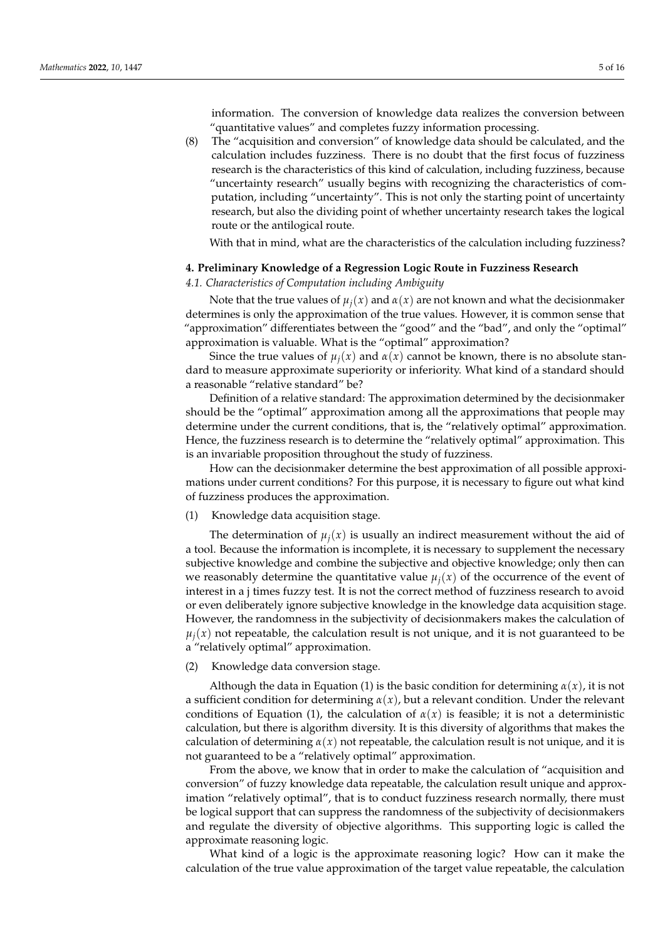information. The conversion of knowledge data realizes the conversion between "quantitative values" and completes fuzzy information processing.

(8) The "acquisition and conversion" of knowledge data should be calculated, and the calculation includes fuzziness. There is no doubt that the first focus of fuzziness research is the characteristics of this kind of calculation, including fuzziness, because "uncertainty research" usually begins with recognizing the characteristics of computation, including "uncertainty". This is not only the starting point of uncertainty research, but also the dividing point of whether uncertainty research takes the logical route or the antilogical route.

With that in mind, what are the characteristics of the calculation including fuzziness?

#### **4. Preliminary Knowledge of a Regression Logic Route in Fuzziness Research**

## *4.1. Characteristics of Computation including Ambiguity*

Note that the true values of  $\mu_i(x)$  and  $\alpha(x)$  are not known and what the decisionmaker determines is only the approximation of the true values. However, it is common sense that "approximation" differentiates between the "good" and the "bad", and only the "optimal" approximation is valuable. What is the "optimal" approximation?

Since the true values of  $\mu_i(x)$  and  $\alpha(x)$  cannot be known, there is no absolute standard to measure approximate superiority or inferiority. What kind of a standard should a reasonable "relative standard" be?

Definition of a relative standard: The approximation determined by the decisionmaker should be the "optimal" approximation among all the approximations that people may determine under the current conditions, that is, the "relatively optimal" approximation. Hence, the fuzziness research is to determine the "relatively optimal" approximation. This is an invariable proposition throughout the study of fuzziness.

How can the decisionmaker determine the best approximation of all possible approximations under current conditions? For this purpose, it is necessary to figure out what kind of fuzziness produces the approximation.

(1) Knowledge data acquisition stage.

The determination of  $\mu_i(x)$  is usually an indirect measurement without the aid of a tool. Because the information is incomplete, it is necessary to supplement the necessary subjective knowledge and combine the subjective and objective knowledge; only then can we reasonably determine the quantitative value  $\mu_i(x)$  of the occurrence of the event of interest in a j times fuzzy test. It is not the correct method of fuzziness research to avoid or even deliberately ignore subjective knowledge in the knowledge data acquisition stage. However, the randomness in the subjectivity of decisionmakers makes the calculation of  $\mu_i(x)$  not repeatable, the calculation result is not unique, and it is not guaranteed to be a "relatively optimal" approximation.

(2) Knowledge data conversion stage.

Although the data in Equation (1) is the basic condition for determining  $\alpha(x)$ , it is not a sufficient condition for determining *α*(*x*), but a relevant condition. Under the relevant conditions of Equation (1), the calculation of  $\alpha(x)$  is feasible; it is not a deterministic calculation, but there is algorithm diversity. It is this diversity of algorithms that makes the calculation of determining  $\alpha(x)$  not repeatable, the calculation result is not unique, and it is not guaranteed to be a "relatively optimal" approximation.

From the above, we know that in order to make the calculation of "acquisition and conversion" of fuzzy knowledge data repeatable, the calculation result unique and approximation "relatively optimal", that is to conduct fuzziness research normally, there must be logical support that can suppress the randomness of the subjectivity of decisionmakers and regulate the diversity of objective algorithms. This supporting logic is called the approximate reasoning logic.

What kind of a logic is the approximate reasoning logic? How can it make the calculation of the true value approximation of the target value repeatable, the calculation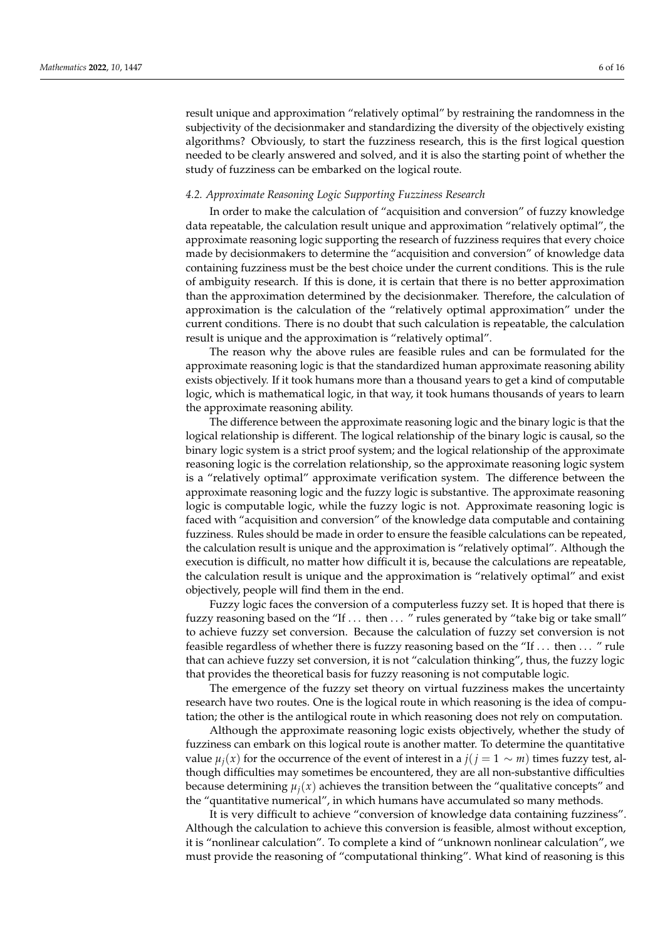result unique and approximation "relatively optimal" by restraining the randomness in the subjectivity of the decisionmaker and standardizing the diversity of the objectively existing algorithms? Obviously, to start the fuzziness research, this is the first logical question needed to be clearly answered and solved, and it is also the starting point of whether the study of fuzziness can be embarked on the logical route.

## *4.2. Approximate Reasoning Logic Supporting Fuzziness Research*

In order to make the calculation of "acquisition and conversion" of fuzzy knowledge data repeatable, the calculation result unique and approximation "relatively optimal", the approximate reasoning logic supporting the research of fuzziness requires that every choice made by decisionmakers to determine the "acquisition and conversion" of knowledge data containing fuzziness must be the best choice under the current conditions. This is the rule of ambiguity research. If this is done, it is certain that there is no better approximation than the approximation determined by the decisionmaker. Therefore, the calculation of approximation is the calculation of the "relatively optimal approximation" under the current conditions. There is no doubt that such calculation is repeatable, the calculation result is unique and the approximation is "relatively optimal".

The reason why the above rules are feasible rules and can be formulated for the approximate reasoning logic is that the standardized human approximate reasoning ability exists objectively. If it took humans more than a thousand years to get a kind of computable logic, which is mathematical logic, in that way, it took humans thousands of years to learn the approximate reasoning ability.

The difference between the approximate reasoning logic and the binary logic is that the logical relationship is different. The logical relationship of the binary logic is causal, so the binary logic system is a strict proof system; and the logical relationship of the approximate reasoning logic is the correlation relationship, so the approximate reasoning logic system is a "relatively optimal" approximate verification system. The difference between the approximate reasoning logic and the fuzzy logic is substantive. The approximate reasoning logic is computable logic, while the fuzzy logic is not. Approximate reasoning logic is faced with "acquisition and conversion" of the knowledge data computable and containing fuzziness. Rules should be made in order to ensure the feasible calculations can be repeated, the calculation result is unique and the approximation is "relatively optimal". Although the execution is difficult, no matter how difficult it is, because the calculations are repeatable, the calculation result is unique and the approximation is "relatively optimal" and exist objectively, people will find them in the end.

Fuzzy logic faces the conversion of a computerless fuzzy set. It is hoped that there is fuzzy reasoning based on the "If ... then ... " rules generated by "take big or take small" to achieve fuzzy set conversion. Because the calculation of fuzzy set conversion is not feasible regardless of whether there is fuzzy reasoning based on the "If . . . then . . . " rule that can achieve fuzzy set conversion, it is not "calculation thinking", thus, the fuzzy logic that provides the theoretical basis for fuzzy reasoning is not computable logic.

The emergence of the fuzzy set theory on virtual fuzziness makes the uncertainty research have two routes. One is the logical route in which reasoning is the idea of computation; the other is the antilogical route in which reasoning does not rely on computation.

Although the approximate reasoning logic exists objectively, whether the study of fuzziness can embark on this logical route is another matter. To determine the quantitative value  $\mu_i(x)$  for the occurrence of the event of interest in a  $j(j = 1 \sim m)$  times fuzzy test, although difficulties may sometimes be encountered, they are all non-substantive difficulties because determining  $\mu_i(x)$  achieves the transition between the "qualitative concepts" and the "quantitative numerical", in which humans have accumulated so many methods.

It is very difficult to achieve "conversion of knowledge data containing fuzziness". Although the calculation to achieve this conversion is feasible, almost without exception, it is "nonlinear calculation". To complete a kind of "unknown nonlinear calculation", we must provide the reasoning of "computational thinking". What kind of reasoning is this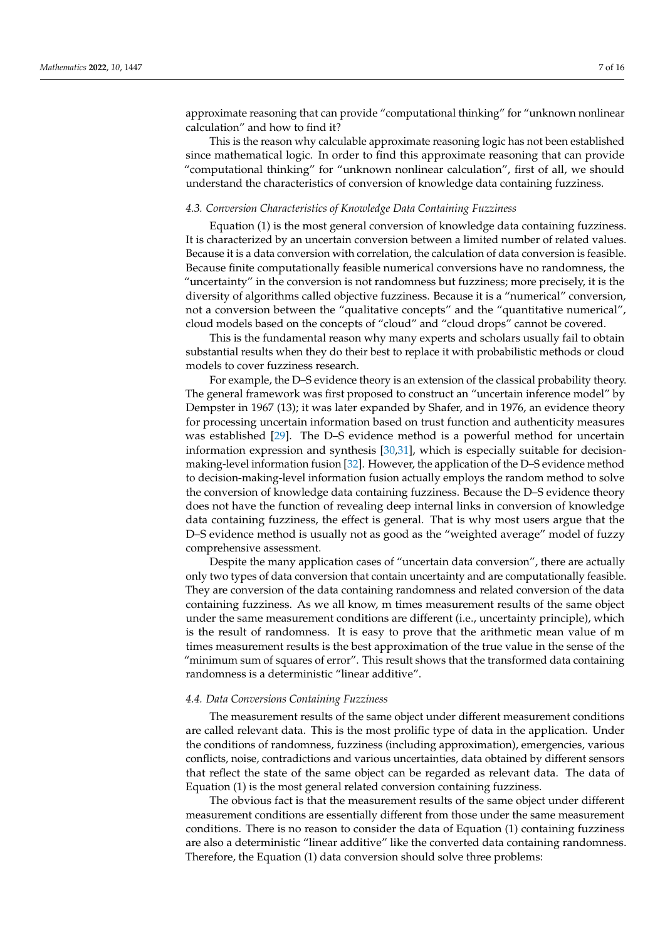approximate reasoning that can provide "computational thinking" for "unknown nonlinear calculation" and how to find it?

This is the reason why calculable approximate reasoning logic has not been established since mathematical logic. In order to find this approximate reasoning that can provide "computational thinking" for "unknown nonlinear calculation", first of all, we should understand the characteristics of conversion of knowledge data containing fuzziness.

#### *4.3. Conversion Characteristics of Knowledge Data Containing Fuzziness*

Equation (1) is the most general conversion of knowledge data containing fuzziness. It is characterized by an uncertain conversion between a limited number of related values. Because it is a data conversion with correlation, the calculation of data conversion is feasible. Because finite computationally feasible numerical conversions have no randomness, the "uncertainty" in the conversion is not randomness but fuzziness; more precisely, it is the diversity of algorithms called objective fuzziness. Because it is a "numerical" conversion, not a conversion between the "qualitative concepts" and the "quantitative numerical", cloud models based on the concepts of "cloud" and "cloud drops" cannot be covered.

This is the fundamental reason why many experts and scholars usually fail to obtain substantial results when they do their best to replace it with probabilistic methods or cloud models to cover fuzziness research.

For example, the D–S evidence theory is an extension of the classical probability theory. The general framework was first proposed to construct an "uncertain inference model" by Dempster in 1967 (13); it was later expanded by Shafer, and in 1976, an evidence theory for processing uncertain information based on trust function and authenticity measures was established [\[29\]](#page-15-1). The D–S evidence method is a powerful method for uncertain information expression and synthesis  $[30,31]$  $[30,31]$ , which is especially suitable for decisionmaking-level information fusion [\[32\]](#page-15-4). However, the application of the D–S evidence method to decision-making-level information fusion actually employs the random method to solve the conversion of knowledge data containing fuzziness. Because the D–S evidence theory does not have the function of revealing deep internal links in conversion of knowledge data containing fuzziness, the effect is general. That is why most users argue that the D–S evidence method is usually not as good as the "weighted average" model of fuzzy comprehensive assessment.

Despite the many application cases of "uncertain data conversion", there are actually only two types of data conversion that contain uncertainty and are computationally feasible. They are conversion of the data containing randomness and related conversion of the data containing fuzziness. As we all know, m times measurement results of the same object under the same measurement conditions are different (i.e., uncertainty principle), which is the result of randomness. It is easy to prove that the arithmetic mean value of m times measurement results is the best approximation of the true value in the sense of the "minimum sum of squares of error". This result shows that the transformed data containing randomness is a deterministic "linear additive".

#### *4.4. Data Conversions Containing Fuzziness*

The measurement results of the same object under different measurement conditions are called relevant data. This is the most prolific type of data in the application. Under the conditions of randomness, fuzziness (including approximation), emergencies, various conflicts, noise, contradictions and various uncertainties, data obtained by different sensors that reflect the state of the same object can be regarded as relevant data. The data of Equation (1) is the most general related conversion containing fuzziness.

The obvious fact is that the measurement results of the same object under different measurement conditions are essentially different from those under the same measurement conditions. There is no reason to consider the data of Equation (1) containing fuzziness are also a deterministic "linear additive" like the converted data containing randomness. Therefore, the Equation (1) data conversion should solve three problems: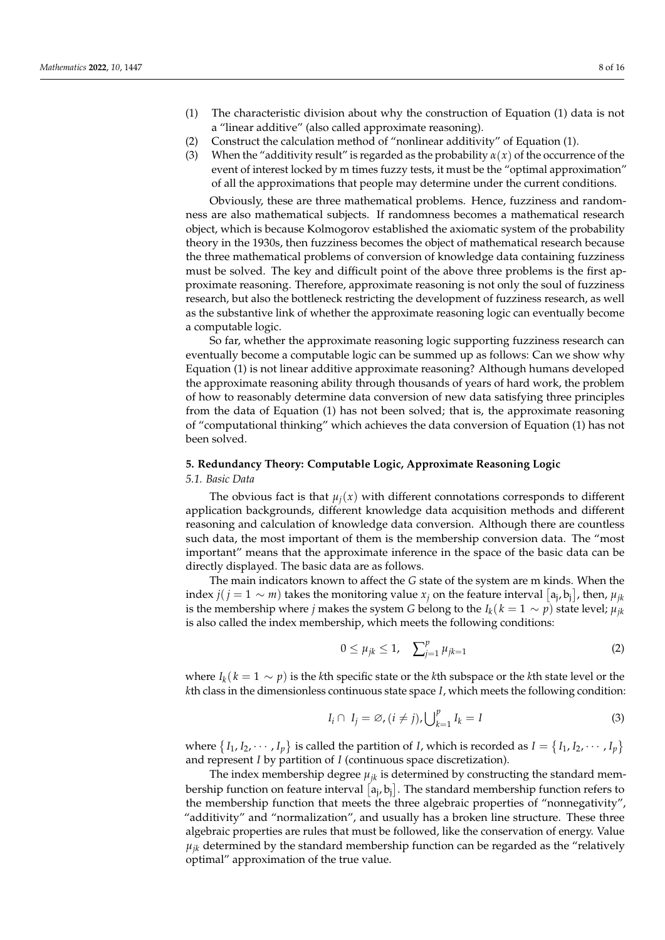- (1) The characteristic division about why the construction of Equation (1) data is not a "linear additive" (also called approximate reasoning).
- (2) Construct the calculation method of "nonlinear additivity" of Equation (1).
- (3) When the "additivity result" is regarded as the probability  $\alpha(x)$  of the occurrence of the event of interest locked by m times fuzzy tests, it must be the "optimal approximation" of all the approximations that people may determine under the current conditions.

Obviously, these are three mathematical problems. Hence, fuzziness and randomness are also mathematical subjects. If randomness becomes a mathematical research object, which is because Kolmogorov established the axiomatic system of the probability theory in the 1930s, then fuzziness becomes the object of mathematical research because the three mathematical problems of conversion of knowledge data containing fuzziness must be solved. The key and difficult point of the above three problems is the first approximate reasoning. Therefore, approximate reasoning is not only the soul of fuzziness research, but also the bottleneck restricting the development of fuzziness research, as well as the substantive link of whether the approximate reasoning logic can eventually become a computable logic.

So far, whether the approximate reasoning logic supporting fuzziness research can eventually become a computable logic can be summed up as follows: Can we show why Equation (1) is not linear additive approximate reasoning? Although humans developed the approximate reasoning ability through thousands of years of hard work, the problem of how to reasonably determine data conversion of new data satisfying three principles from the data of Equation (1) has not been solved; that is, the approximate reasoning of "computational thinking" which achieves the data conversion of Equation (1) has not been solved.

## **5. Redundancy Theory: Computable Logic, Approximate Reasoning Logic** *5.1. Basic Data*

The obvious fact is that  $\mu_i(x)$  with different connotations corresponds to different application backgrounds, different knowledge data acquisition methods and different reasoning and calculation of knowledge data conversion. Although there are countless such data, the most important of them is the membership conversion data. The "most important" means that the approximate inference in the space of the basic data can be directly displayed. The basic data are as follows.

The main indicators known to affect the *G* state of the system are m kinds. When the index  $j(j = 1 \sim m)$  takes the monitoring value  $x_j$  on the feature interval  $[a_j, b_j]$ , then,  $\mu_{jk}$ is the membership where *j* makes the system *G* belong to the  $I_k$ ( $k = 1 \sim p$ ) state level;  $\mu_{ik}$ is also called the index membership, which meets the following conditions:

$$
0 \le \mu_{jk} \le 1, \quad \sum_{j=1}^{p} \mu_{jk=1} \tag{2}
$$

where  $I_k$ ( $k = 1 \sim p$ ) is the *k*th specific state or the *k*th subspace or the *k*th state level or the *k*th class in the dimensionless continuous state space *I*, which meets the following condition:

$$
I_i \cap I_j = \varnothing, (i \neq j), \bigcup_{k=1}^p I_k = I \tag{3}
$$

where  $\{I_1, I_2, \cdots, I_p\}$  is called the partition of *I*, which is recorded as  $I = \{I_1, I_2, \cdots, I_p\}$ and represent *I* by partition of *I* (continuous space discretization).

The index membership degree  $\mu_{jk}$  is determined by constructing the standard membership function on feature interval  $[a_j, b_j]$ . The standard membership function refers to the membership function that meets the three algebraic properties of "nonnegativity", "additivity" and "normalization", and usually has a broken line structure. These three algebraic properties are rules that must be followed, like the conservation of energy. Value  $\mu_{ik}$  determined by the standard membership function can be regarded as the "relatively optimal" approximation of the true value.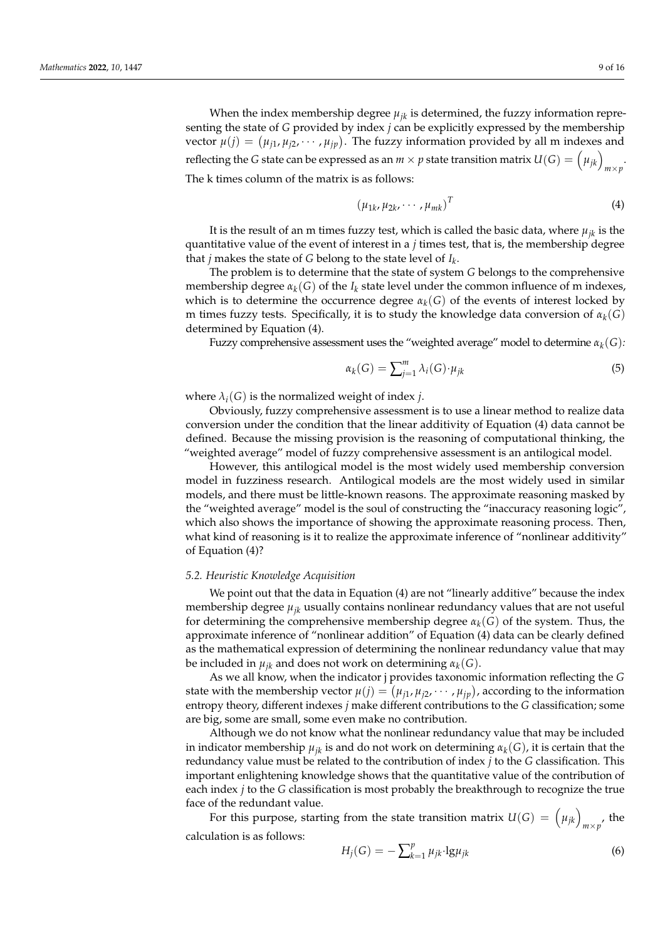When the index membership degree  $\mu_{jk}$  is determined, the fuzzy information representing the state of *G* provided by index *j* can be explicitly expressed by the membership vector  $\mu(j) = (\mu_{j1}, \mu_{j2}, \dots, \mu_{jp})$ . The fuzzy information provided by all m indexes and reflecting the *G* state can be expressed as an  $m \times p$  state transition matrix  $U(G) = \left(\mu_{jk}\right)_{m \times p}$ . The k times column of the matrix is as follows:

$$
(\mu_{1k}, \mu_{2k}, \cdots, \mu_{mk})^T
$$
 (4)

It is the result of an m times fuzzy test, which is called the basic data, where  $\mu_{ik}$  is the quantitative value of the event of interest in a *j* times test, that is, the membership degree that *j* makes the state of *G* belong to the state level of *I<sup>k</sup>* .

The problem is to determine that the state of system *G* belongs to the comprehensive membership degree  $\alpha_k(G)$  of the  $I_k$  state level under the common influence of m indexes, which is to determine the occurrence degree  $\alpha_k(G)$  of the events of interest locked by m times fuzzy tests. Specifically, it is to study the knowledge data conversion of  $\alpha_k(G)$ determined by Equation (4).

Fuzzy comprehensive assessment uses the "weighted average" model to determine *αk*(*G*)*:*

$$
\alpha_k(G) = \sum_{j=1}^m \lambda_i(G) \cdot \mu_{jk} \tag{5}
$$

where  $\lambda_i(G)$  is the normalized weight of index *j*.

Obviously, fuzzy comprehensive assessment is to use a linear method to realize data conversion under the condition that the linear additivity of Equation (4) data cannot be defined. Because the missing provision is the reasoning of computational thinking, the "weighted average" model of fuzzy comprehensive assessment is an antilogical model.

However, this antilogical model is the most widely used membership conversion model in fuzziness research. Antilogical models are the most widely used in similar models, and there must be little-known reasons. The approximate reasoning masked by the "weighted average" model is the soul of constructing the "inaccuracy reasoning logic", which also shows the importance of showing the approximate reasoning process. Then, what kind of reasoning is it to realize the approximate inference of "nonlinear additivity" of Equation (4)?

#### *5.2. Heuristic Knowledge Acquisition*

We point out that the data in Equation (4) are not "linearly additive" because the index membership degree  $\mu_{ik}$  usually contains nonlinear redundancy values that are not useful for determining the comprehensive membership degree  $\alpha_k(G)$  of the system. Thus, the approximate inference of "nonlinear addition" of Equation (4) data can be clearly defined as the mathematical expression of determining the nonlinear redundancy value that may be included in  $\mu_{ik}$  and does not work on determining  $\alpha_k(G)$ .

As we all know, when the indicator j provides taxonomic information reflecting the *G* state with the membership vector  $\mu(j) = (\mu_{j1}, \mu_{j2}, \cdots, \mu_{jp})$ , according to the information entropy theory, different indexes *j* make different contributions to the *G* classification; some are big, some are small, some even make no contribution.

Although we do not know what the nonlinear redundancy value that may be included in indicator membership  $\mu_{ik}$  is and do not work on determining  $\alpha_k(G)$ , it is certain that the redundancy value must be related to the contribution of index *j* to the *G* classification. This important enlightening knowledge shows that the quantitative value of the contribution of each index *j* to the *G* classification is most probably the breakthrough to recognize the true face of the redundant value.

For this purpose, starting from the state transition matrix  $U(G) = (\mu_{jk})_{m \times p'}$ , the calculation is as follows:

$$
H_j(G) = -\sum_{k=1}^p \mu_{jk} \cdot \lg \mu_{jk} \tag{6}
$$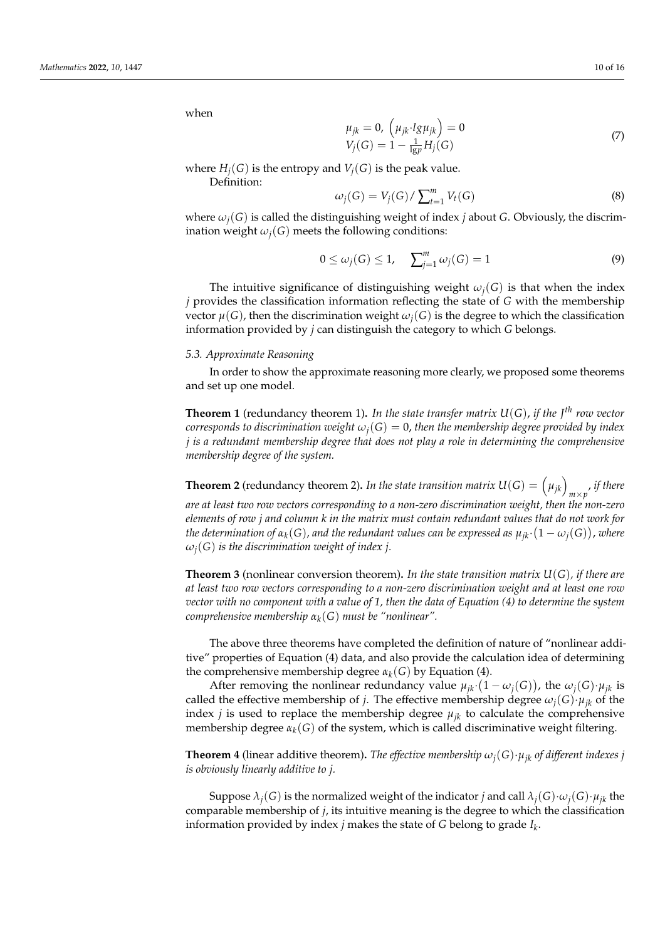when

$$
\mu_{jk} = 0, \left(\mu_{jk} \cdot lg \mu_{jk}\right) = 0
$$
  
\n
$$
V_j(G) = 1 - \frac{1}{\lg p} H_j(G)
$$
\n(7)

where  $H_i(G)$  is the entropy and  $V_i(G)$  is the peak value.

Definition:

$$
\omega_j(G) = V_j(G) / \sum_{t=1}^m V_t(G) \tag{8}
$$

where  $\omega_i(G)$  is called the distinguishing weight of index *j* about *G*. Obviously, the discrimination weight  $\omega_i(G)$  meets the following conditions:

$$
0 \le \omega_j(G) \le 1, \quad \sum_{j=1}^m \omega_j(G) = 1 \tag{9}
$$

The intuitive significance of distinguishing weight  $\omega_i(G)$  is that when the index *j* provides the classification information reflecting the state of *G* with the membership vector  $\mu(G)$ , then the discrimination weight  $\omega_i(G)$  is the degree to which the classification information provided by *j* can distinguish the category to which *G* belongs.

#### *5.3. Approximate Reasoning*

In order to show the approximate reasoning more clearly, we proposed some theorems and set up one model.

**Theorem 1** (redundancy theorem 1)**.** *In the state transfer matrix U*(*G*), *if the J th row vector corresponds to discrimination weight*  $\omega_i(G) = 0$ , then the membership degree provided by index *j is a redundant membership degree that does not play a role in determining the comprehensive membership degree of the system.*

**Theorem 2** (redundancy theorem 2). *In the state transition matrix*  $U(G) = (\mu_{jk})_{m \times p'}$  *if there are at least two row vectors corresponding to a non-zero discrimination weight, then the non-zero elements of row j and column k in the matrix must contain redundant values that do not work for* the determination of α $_k(G)$ , and the redundant values can be expressed as  $μ_{jk} \cdot (1 - ω_j(G))$ , where  $\omega_i(G)$  *is the discrimination weight of index j.* 

**Theorem 3** (nonlinear conversion theorem)**.** *In the state transition matrix U*(*G*)*, if there are at least two row vectors corresponding to a non-zero discrimination weight and at least one row vector with no component with a value of 1, then the data of Equation (4) to determine the system comprehensive membership*  $\alpha_k(G)$  *must be "nonlinear".* 

The above three theorems have completed the definition of nature of "nonlinear additive" properties of Equation (4) data, and also provide the calculation idea of determining the comprehensive membership degree  $\alpha_k(G)$  by Equation (4).

After removing the nonlinear redundancy value  $\mu_{jk} \cdot (1 - \omega_j(G))$ , the  $\omega_j(G) \cdot \mu_{jk}$  is called the effective membership of *j*. The effective membership degree  $\omega_i(G) \cdot \mu_{ik}$  of the index *j* is used to replace the membership degree  $\mu_{ik}$  to calculate the comprehensive membership degree  $\alpha_k(G)$  of the system, which is called discriminative weight filtering.

**Theorem 4** (linear additive theorem). *The effective membership*  $\omega_i(G) \cdot \mu_{ik}$  *of different indexes j is obviously linearly additive to j.*

Suppose  $\lambda_i(G)$  is the normalized weight of the indicator *j* and call  $\lambda_i(G) \cdot \omega_i(G) \cdot \mu_{ik}$  the comparable membership of *j*, its intuitive meaning is the degree to which the classification information provided by index *j* makes the state of *G* belong to grade *I<sup>k</sup>* .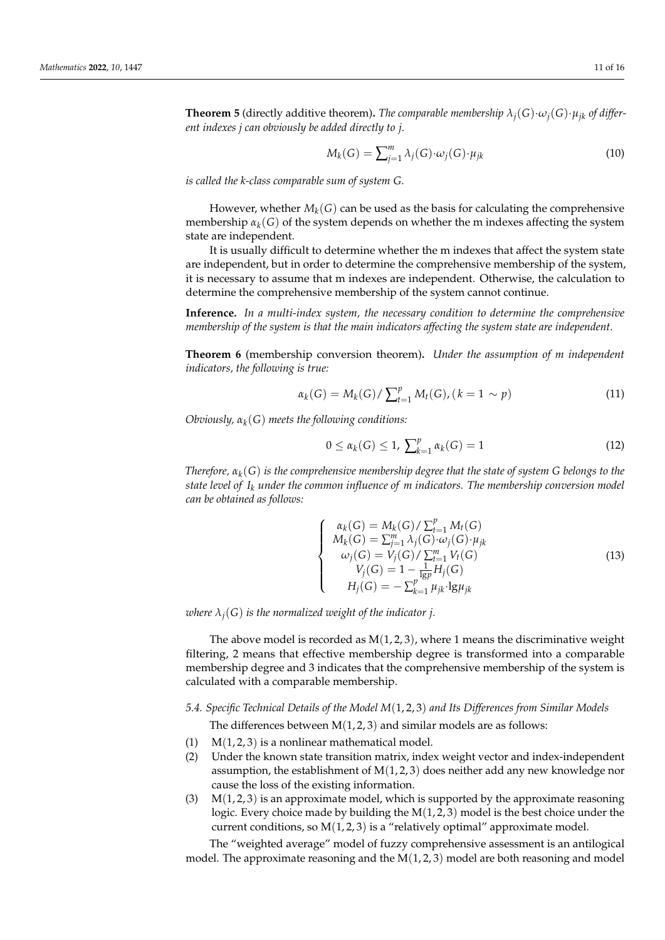**Theorem 5** (directly additive theorem). *The comparable membership*  $\lambda_i(G) \cdot \omega_i(G) \cdot \mu_{ik}$  *of different indexes j can obviously be added directly to j.*

$$
M_k(G) = \sum_{j=1}^m \lambda_j(G) \cdot \omega_j(G) \cdot \mu_{jk}
$$
\n(10)

*is called the k-class comparable sum of system G.*

However, whether  $M_k(G)$  can be used as the basis for calculating the comprehensive membership  $\alpha_k(G)$  of the system depends on whether the m indexes affecting the system state are independent.

It is usually difficult to determine whether the m indexes that affect the system state are independent, but in order to determine the comprehensive membership of the system, it is necessary to assume that m indexes are independent. Otherwise, the calculation to determine the comprehensive membership of the system cannot continue.

**Inference.** *In a multi-index system, the necessary condition to determine the comprehensive membership of the system is that the main indicators affecting the system state are independent.*

**Theorem 6** (membership conversion theorem)**.** *Under the assumption of m independent indicators, the following is true:*

$$
\alpha_k(G) = M_k(G) / \sum_{t=1}^p M_t(G), (k = 1 \sim p)
$$
\n(11)

*Obviously, αk*(*G*) *meets the following conditions:*

$$
0 \le \alpha_k(G) \le 1, \ \sum_{k=1}^p \alpha_k(G) = 1 \tag{12}
$$

*Therefore, αk*(*G*) *is the comprehensive membership degree that the state of system G belongs to the state level of I<sup>k</sup> under the common influence of m indicators. The membership conversion model can be obtained as follows:*

$$
\begin{cases}\n\alpha_{k}(G) = M_{k}(G) / \sum_{t=1}^{p} M_{t}(G) \\
M_{k}(G) = \sum_{j=1}^{m} \lambda_{j}(G) \cdot \omega_{j}(G) \cdot \mu_{jk} \\
\omega_{j}(G) = V_{j}(G) / \sum_{t=1}^{m} V_{t}(G) \\
V_{j}(G) = 1 - \frac{1}{1g p} H_{j}(G) \\
H_{j}(G) = -\sum_{k=1}^{p} \mu_{jk} \cdot \lg \mu_{jk}\n\end{cases}
$$
\n(13)

*where*  $\lambda_i(G)$  *is the normalized weight of the indicator j.* 

The above model is recorded as  $M(1, 2, 3)$ , where 1 means the discriminative weight filtering, 2 means that effective membership degree is transformed into a comparable membership degree and 3 indicates that the comprehensive membership of the system is calculated with a comparable membership.

*5.4. Specific Technical Details of the Model M*(1, 2, 3) *and Its Differences from Similar Models* The differences between  $M(1, 2, 3)$  and similar models are as follows:

- (1)  $M(1, 2, 3)$  is a nonlinear mathematical model.
- (2) Under the known state transition matrix, index weight vector and index-independent assumption, the establishment of  $M(1, 2, 3)$  does neither add any new knowledge nor cause the loss of the existing information.
- (3)  $M(1, 2, 3)$  is an approximate model, which is supported by the approximate reasoning logic. Every choice made by building the  $M(1, 2, 3)$  model is the best choice under the current conditions, so  $M(1, 2, 3)$  is a "relatively optimal" approximate model.

The "weighted average" model of fuzzy comprehensive assessment is an antilogical model. The approximate reasoning and the  $M(1, 2, 3)$  model are both reasoning and model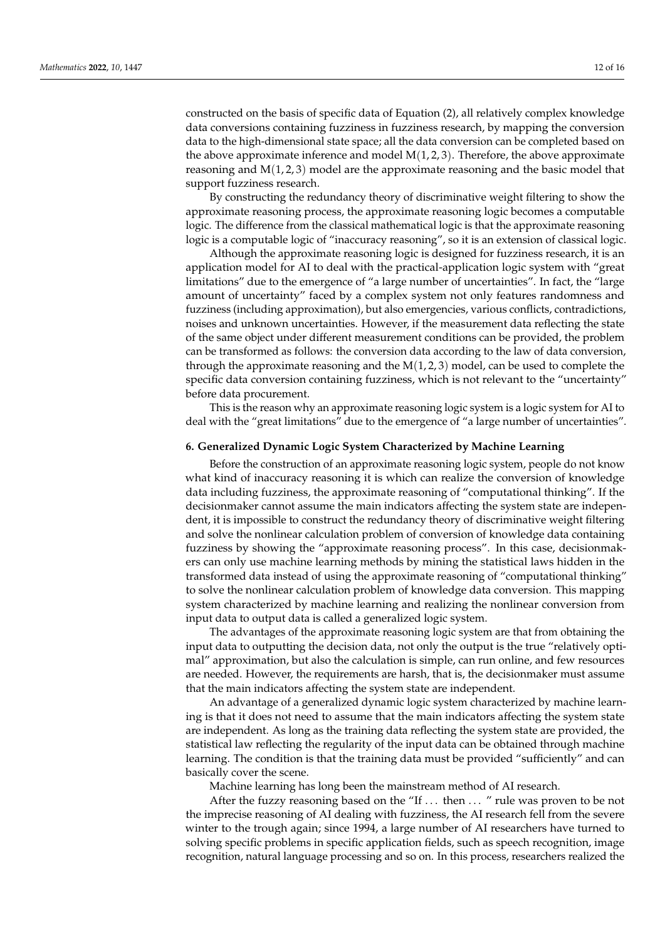constructed on the basis of specific data of Equation (2), all relatively complex knowledge data conversions containing fuzziness in fuzziness research, by mapping the conversion data to the high-dimensional state space; all the data conversion can be completed based on the above approximate inference and model  $M(1, 2, 3)$ . Therefore, the above approximate reasoning and  $M(1, 2, 3)$  model are the approximate reasoning and the basic model that support fuzziness research.

By constructing the redundancy theory of discriminative weight filtering to show the approximate reasoning process, the approximate reasoning logic becomes a computable logic. The difference from the classical mathematical logic is that the approximate reasoning logic is a computable logic of "inaccuracy reasoning", so it is an extension of classical logic.

Although the approximate reasoning logic is designed for fuzziness research, it is an application model for AI to deal with the practical-application logic system with "great limitations" due to the emergence of "a large number of uncertainties". In fact, the "large amount of uncertainty" faced by a complex system not only features randomness and fuzziness (including approximation), but also emergencies, various conflicts, contradictions, noises and unknown uncertainties. However, if the measurement data reflecting the state of the same object under different measurement conditions can be provided, the problem can be transformed as follows: the conversion data according to the law of data conversion, through the approximate reasoning and the  $M(1, 2, 3)$  model, can be used to complete the specific data conversion containing fuzziness, which is not relevant to the "uncertainty" before data procurement.

This is the reason why an approximate reasoning logic system is a logic system for AI to deal with the "great limitations" due to the emergence of "a large number of uncertainties".

#### **6. Generalized Dynamic Logic System Characterized by Machine Learning**

Before the construction of an approximate reasoning logic system, people do not know what kind of inaccuracy reasoning it is which can realize the conversion of knowledge data including fuzziness, the approximate reasoning of "computational thinking". If the decisionmaker cannot assume the main indicators affecting the system state are independent, it is impossible to construct the redundancy theory of discriminative weight filtering and solve the nonlinear calculation problem of conversion of knowledge data containing fuzziness by showing the "approximate reasoning process". In this case, decisionmakers can only use machine learning methods by mining the statistical laws hidden in the transformed data instead of using the approximate reasoning of "computational thinking" to solve the nonlinear calculation problem of knowledge data conversion. This mapping system characterized by machine learning and realizing the nonlinear conversion from input data to output data is called a generalized logic system.

The advantages of the approximate reasoning logic system are that from obtaining the input data to outputting the decision data, not only the output is the true "relatively optimal" approximation, but also the calculation is simple, can run online, and few resources are needed. However, the requirements are harsh, that is, the decisionmaker must assume that the main indicators affecting the system state are independent.

An advantage of a generalized dynamic logic system characterized by machine learning is that it does not need to assume that the main indicators affecting the system state are independent. As long as the training data reflecting the system state are provided, the statistical law reflecting the regularity of the input data can be obtained through machine learning. The condition is that the training data must be provided "sufficiently" and can basically cover the scene.

Machine learning has long been the mainstream method of AI research.

After the fuzzy reasoning based on the "If ... then ... " rule was proven to be not the imprecise reasoning of AI dealing with fuzziness, the AI research fell from the severe winter to the trough again; since 1994, a large number of AI researchers have turned to solving specific problems in specific application fields, such as speech recognition, image recognition, natural language processing and so on. In this process, researchers realized the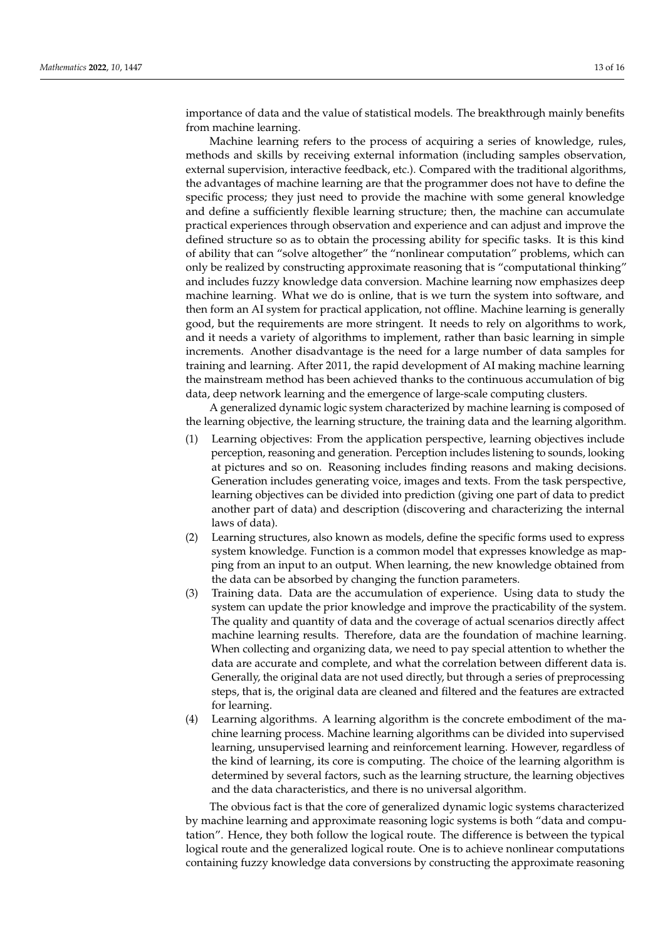importance of data and the value of statistical models. The breakthrough mainly benefits from machine learning.

Machine learning refers to the process of acquiring a series of knowledge, rules, methods and skills by receiving external information (including samples observation, external supervision, interactive feedback, etc.). Compared with the traditional algorithms, the advantages of machine learning are that the programmer does not have to define the specific process; they just need to provide the machine with some general knowledge and define a sufficiently flexible learning structure; then, the machine can accumulate practical experiences through observation and experience and can adjust and improve the defined structure so as to obtain the processing ability for specific tasks. It is this kind of ability that can "solve altogether" the "nonlinear computation" problems, which can only be realized by constructing approximate reasoning that is "computational thinking" and includes fuzzy knowledge data conversion. Machine learning now emphasizes deep machine learning. What we do is online, that is we turn the system into software, and then form an AI system for practical application, not offline. Machine learning is generally good, but the requirements are more stringent. It needs to rely on algorithms to work, and it needs a variety of algorithms to implement, rather than basic learning in simple increments. Another disadvantage is the need for a large number of data samples for training and learning. After 2011, the rapid development of AI making machine learning the mainstream method has been achieved thanks to the continuous accumulation of big data, deep network learning and the emergence of large-scale computing clusters.

A generalized dynamic logic system characterized by machine learning is composed of the learning objective, the learning structure, the training data and the learning algorithm.

- (1) Learning objectives: From the application perspective, learning objectives include perception, reasoning and generation. Perception includes listening to sounds, looking at pictures and so on. Reasoning includes finding reasons and making decisions. Generation includes generating voice, images and texts. From the task perspective, learning objectives can be divided into prediction (giving one part of data to predict another part of data) and description (discovering and characterizing the internal laws of data).
- (2) Learning structures, also known as models, define the specific forms used to express system knowledge. Function is a common model that expresses knowledge as mapping from an input to an output. When learning, the new knowledge obtained from the data can be absorbed by changing the function parameters.
- (3) Training data. Data are the accumulation of experience. Using data to study the system can update the prior knowledge and improve the practicability of the system. The quality and quantity of data and the coverage of actual scenarios directly affect machine learning results. Therefore, data are the foundation of machine learning. When collecting and organizing data, we need to pay special attention to whether the data are accurate and complete, and what the correlation between different data is. Generally, the original data are not used directly, but through a series of preprocessing steps, that is, the original data are cleaned and filtered and the features are extracted for learning.
- (4) Learning algorithms. A learning algorithm is the concrete embodiment of the machine learning process. Machine learning algorithms can be divided into supervised learning, unsupervised learning and reinforcement learning. However, regardless of the kind of learning, its core is computing. The choice of the learning algorithm is determined by several factors, such as the learning structure, the learning objectives and the data characteristics, and there is no universal algorithm.

The obvious fact is that the core of generalized dynamic logic systems characterized by machine learning and approximate reasoning logic systems is both "data and computation". Hence, they both follow the logical route. The difference is between the typical logical route and the generalized logical route. One is to achieve nonlinear computations containing fuzzy knowledge data conversions by constructing the approximate reasoning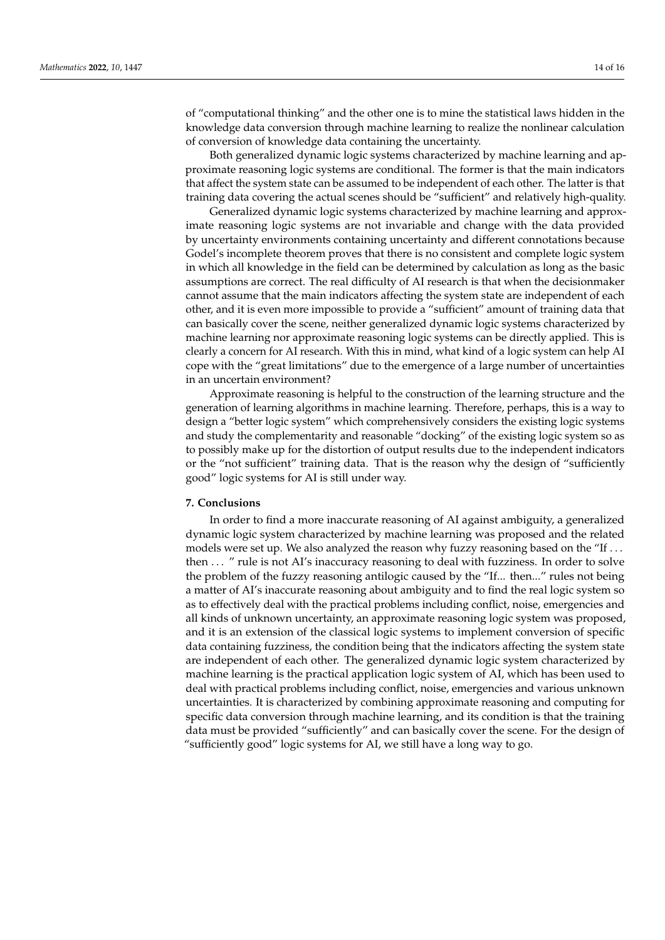of "computational thinking" and the other one is to mine the statistical laws hidden in the knowledge data conversion through machine learning to realize the nonlinear calculation of conversion of knowledge data containing the uncertainty.

Both generalized dynamic logic systems characterized by machine learning and approximate reasoning logic systems are conditional. The former is that the main indicators that affect the system state can be assumed to be independent of each other. The latter is that training data covering the actual scenes should be "sufficient" and relatively high-quality.

Generalized dynamic logic systems characterized by machine learning and approximate reasoning logic systems are not invariable and change with the data provided by uncertainty environments containing uncertainty and different connotations because Godel's incomplete theorem proves that there is no consistent and complete logic system in which all knowledge in the field can be determined by calculation as long as the basic assumptions are correct. The real difficulty of AI research is that when the decisionmaker cannot assume that the main indicators affecting the system state are independent of each other, and it is even more impossible to provide a "sufficient" amount of training data that can basically cover the scene, neither generalized dynamic logic systems characterized by machine learning nor approximate reasoning logic systems can be directly applied. This is clearly a concern for AI research. With this in mind, what kind of a logic system can help AI cope with the "great limitations" due to the emergence of a large number of uncertainties in an uncertain environment?

Approximate reasoning is helpful to the construction of the learning structure and the generation of learning algorithms in machine learning. Therefore, perhaps, this is a way to design a "better logic system" which comprehensively considers the existing logic systems and study the complementarity and reasonable "docking" of the existing logic system so as to possibly make up for the distortion of output results due to the independent indicators or the "not sufficient" training data. That is the reason why the design of "sufficiently good" logic systems for AI is still under way.

#### **7. Conclusions**

In order to find a more inaccurate reasoning of AI against ambiguity, a generalized dynamic logic system characterized by machine learning was proposed and the related models were set up. We also analyzed the reason why fuzzy reasoning based on the "If . . . then ... " rule is not AI's inaccuracy reasoning to deal with fuzziness. In order to solve the problem of the fuzzy reasoning antilogic caused by the "If... then..." rules not being a matter of AI's inaccurate reasoning about ambiguity and to find the real logic system so as to effectively deal with the practical problems including conflict, noise, emergencies and all kinds of unknown uncertainty, an approximate reasoning logic system was proposed, and it is an extension of the classical logic systems to implement conversion of specific data containing fuzziness, the condition being that the indicators affecting the system state are independent of each other. The generalized dynamic logic system characterized by machine learning is the practical application logic system of AI, which has been used to deal with practical problems including conflict, noise, emergencies and various unknown uncertainties. It is characterized by combining approximate reasoning and computing for specific data conversion through machine learning, and its condition is that the training data must be provided "sufficiently" and can basically cover the scene. For the design of "sufficiently good" logic systems for AI, we still have a long way to go.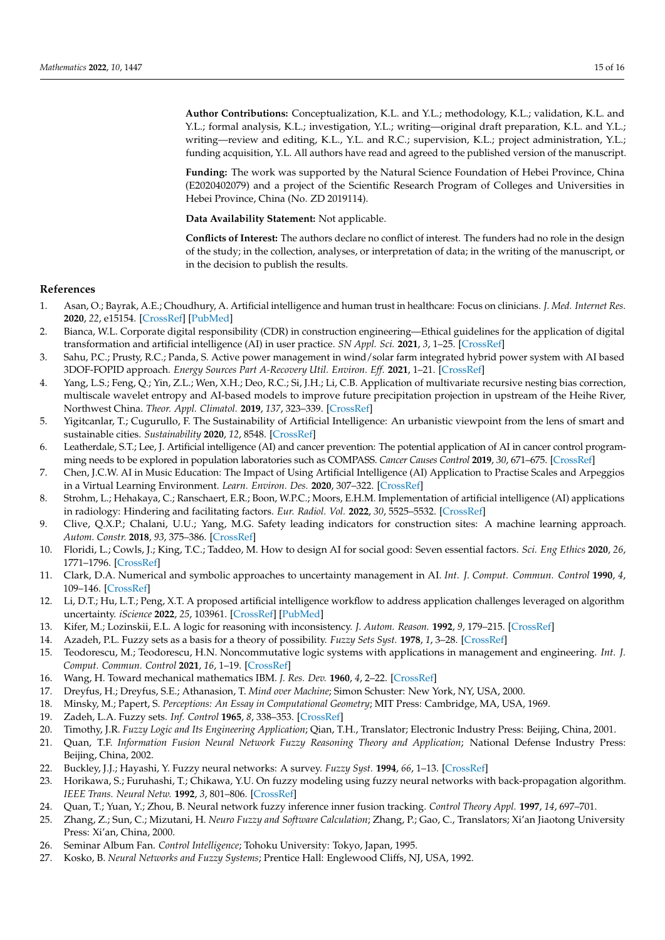**Author Contributions:** Conceptualization, K.L. and Y.L.; methodology, K.L.; validation, K.L. and Y.L.; formal analysis, K.L.; investigation, Y.L.; writing—original draft preparation, K.L. and Y.L.; writing—review and editing, K.L., Y.L. and R.C.; supervision, K.L.; project administration, Y.L.; funding acquisition, Y.L. All authors have read and agreed to the published version of the manuscript.

**Funding:** The work was supported by the Natural Science Foundation of Hebei Province, China (E2020402079) and a project of the Scientific Research Program of Colleges and Universities in Hebei Province, China (No. ZD 2019114).

**Data Availability Statement:** Not applicable.

**Conflicts of Interest:** The authors declare no conflict of interest. The funders had no role in the design of the study; in the collection, analyses, or interpretation of data; in the writing of the manuscript, or in the decision to publish the results.

# **References**

- <span id="page-14-0"></span>1. Asan, O.; Bayrak, A.E.; Choudhury, A. Artificial intelligence and human trust in healthcare: Focus on clinicians. *J. Med. Internet Res.* **2020**, *22*, e15154. [\[CrossRef\]](http://doi.org/10.2196/15154) [\[PubMed\]](http://www.ncbi.nlm.nih.gov/pubmed/32558657)
- <span id="page-14-1"></span>2. Bianca, W.L. Corporate digital responsibility (CDR) in construction engineering—Ethical guidelines for the application of digital transformation and artificial intelligence (AI) in user practice. *SN Appl. Sci.* **2021**, *3*, 1–25. [\[CrossRef\]](http://doi.org/10.1007/s42452-021-04776-1)
- <span id="page-14-2"></span>3. Sahu, P.C.; Prusty, R.C.; Panda, S. Active power management in wind/solar farm integrated hybrid power system with AI based 3DOF-FOPID approach. *Energy Sources Part A-Recovery Util. Environ. Eff.* **2021**, 1–21. [\[CrossRef\]](http://doi.org/10.1080/15567036.2021.1956647)
- <span id="page-14-3"></span>4. Yang, L.S.; Feng, Q.; Yin, Z.L.; Wen, X.H.; Deo, R.C.; Si, J.H.; Li, C.B. Application of multivariate recursive nesting bias correction, multiscale wavelet entropy and AI-based models to improve future precipitation projection in upstream of the Heihe River, Northwest China. *Theor. Appl. Climatol.* **2019**, *137*, 323–339. [\[CrossRef\]](http://doi.org/10.1007/s00704-018-2598-y)
- <span id="page-14-4"></span>5. Yigitcanlar, T.; Cugurullo, F. The Sustainability of Artificial Intelligence: An urbanistic viewpoint from the lens of smart and sustainable cities. *Sustainability* **2020**, *12*, 8548. [\[CrossRef\]](http://doi.org/10.3390/su12208548)
- <span id="page-14-5"></span>6. Leatherdale, S.T.; Lee, J. Artificial intelligence (AI) and cancer prevention: The potential application of AI in cancer control programming needs to be explored in population laboratories such as COMPASS. *Cancer Causes Control* **2019**, *30*, 671–675. [\[CrossRef\]](http://doi.org/10.1007/s10552-019-01182-2)
- <span id="page-14-6"></span>7. Chen, J.C.W. AI in Music Education: The Impact of Using Artificial Intelligence (AI) Application to Practise Scales and Arpeggios in a Virtual Learning Environment. *Learn. Environ. Des.* **2020**, 307–322. [\[CrossRef\]](http://doi.org/10.1007/978-981-15-8167-0_19)
- <span id="page-14-7"></span>8. Strohm, L.; Hehakaya, C.; Ranschaert, E.R.; Boon, W.P.C.; Moors, E.H.M. Implementation of artificial intelligence (AI) applications in radiology: Hindering and facilitating factors. *Eur. Radiol. Vol.* **2022**, *30*, 5525–5532. [\[CrossRef\]](http://doi.org/10.1007/s00330-020-06946-y)
- <span id="page-14-8"></span>9. Clive, Q.X.P.; Chalani, U.U.; Yang, M.G. Safety leading indicators for construction sites: A machine learning approach. *Autom. Constr.* **2018**, *93*, 375–386. [\[CrossRef\]](http://doi.org/10.1016/j.autcon.2018.03.022)
- <span id="page-14-9"></span>10. Floridi, L.; Cowls, J.; King, T.C.; Taddeo, M. How to design AI for social good: Seven essential factors. *Sci. Eng Ethics* **2020**, *26*, 1771–1796. [\[CrossRef\]](http://doi.org/10.1007/s11948-020-00213-5)
- <span id="page-14-10"></span>11. Clark, D.A. Numerical and symbolic approaches to uncertainty management in AI. *Int. J. Comput. Commun. Control* **1990**, *4*, 109–146. [\[CrossRef\]](http://doi.org/10.1007/BF00133189)
- <span id="page-14-11"></span>12. Li, D.T.; Hu, L.T.; Peng, X.T. A proposed artificial intelligence workflow to address application challenges leveraged on algorithm uncertainty. *iScience* **2022**, *25*, 103961. [\[CrossRef\]](http://doi.org/10.1016/j.isci.2022.103961) [\[PubMed\]](http://www.ncbi.nlm.nih.gov/pubmed/35310335)
- <span id="page-14-12"></span>13. Kifer, M.; Lozinskii, E.L. A logic for reasoning with inconsistency. *J. Autom. Reason.* **1992**, *9*, 179–215. [\[CrossRef\]](http://doi.org/10.1007/BF00245460)
- <span id="page-14-13"></span>14. Azadeh, P.L. Fuzzy sets as a basis for a theory of possibility. *Fuzzy Sets Syst.* **1978**, *1*, 3–28. [\[CrossRef\]](http://doi.org/10.1016/S0165-0114(99)80004-9)
- <span id="page-14-14"></span>15. Teodorescu, M.; Teodorescu, H.N. Noncommutative logic systems with applications in management and engineering. *Int. J. Comput. Commun. Control* **2021**, *16*, 1–19. [\[CrossRef\]](http://doi.org/10.15837/ijccc.2021.1.4082)
- <span id="page-14-15"></span>16. Wang, H. Toward mechanical mathematics IBM. *J. Res. Dev.* **1960**, *4*, 2–22. [\[CrossRef\]](http://doi.org/10.1147/rd.41.0002)
- <span id="page-14-16"></span>17. Dreyfus, H.; Dreyfus, S.E.; Athanasion, T. *Mind over Machine*; Simon Schuster: New York, NY, USA, 2000.
- <span id="page-14-17"></span>18. Minsky, M.; Papert, S. *Perceptions: An Essay in Computational Geometry*; MIT Press: Cambridge, MA, USA, 1969.
- <span id="page-14-18"></span>19. Zadeh, L.A. Fuzzy sets. *Inf. Control* **1965**, *8*, 338–353. [\[CrossRef\]](http://doi.org/10.1016/S0019-9958(65)90241-X)
- <span id="page-14-19"></span>20. Timothy, J.R. *Fuzzy Logic and Its Engineering Application*; Qian, T.H., Translator; Electronic Industry Press: Beijing, China, 2001.
- <span id="page-14-20"></span>21. Quan, T.F. *Information Fusion Neural Network Fuzzy Reasoning Theory and Application*; National Defense Industry Press: Beijing, China, 2002.
- 22. Buckley, J.J.; Hayashi, Y. Fuzzy neural networks: A survey. *Fuzzy Syst.* **1994**, *66*, 1–13. [\[CrossRef\]](http://doi.org/10.1016/0165-0114(94)90297-6)
- 23. Horikawa, S.; Furuhashi, T.; Chikawa, Y.U. On fuzzy modeling using fuzzy neural networks with back-propagation algorithm. *IEEE Trans. Neural Netw.* **1992**, *3*, 801–806. [\[CrossRef\]](http://doi.org/10.1109/72.159069)
- 24. Quan, T.; Yuan, Y.; Zhou, B. Neural network fuzzy inference inner fusion tracking. *Control Theory Appl.* **1997**, *14*, 697–701.
- <span id="page-14-21"></span>25. Zhang, Z.; Sun, C.; Mizutani, H. *Neuro Fuzzy and Software Calculation*; Zhang, P.; Gao, C., Translators; Xi'an Jiaotong University Press: Xi'an, China, 2000.
- <span id="page-14-22"></span>26. Seminar Album Fan. *Control Intelligence*; Tohoku University: Tokyo, Japan, 1995.
- <span id="page-14-23"></span>27. Kosko, B. *Neural Networks and Fuzzy Systems*; Prentice Hall: Englewood Cliffs, NJ, USA, 1992.